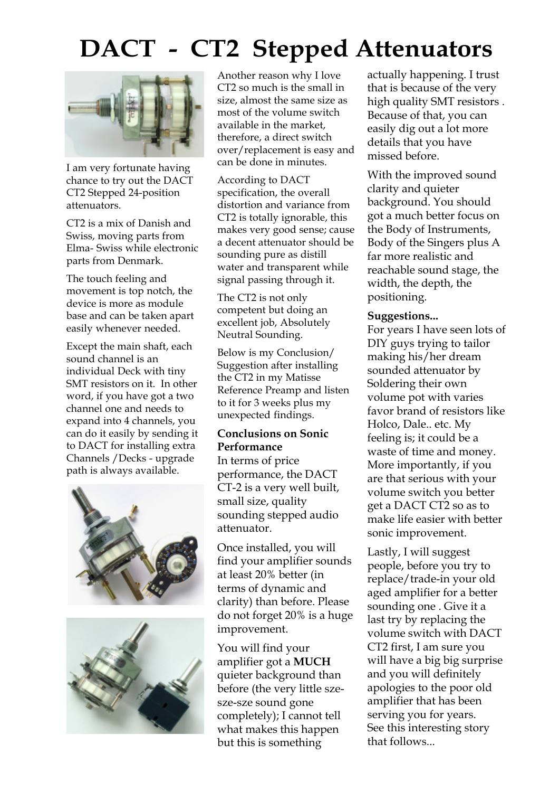## DACT - CT2 Stepped Attenuators



I am very fortunate having chance to try out the DACT CT2 Stepped 24-position attenuators.

CT2 is a mix of Danish and Swiss, moving parts from Elma- Swiss while electronic parts from Denmark.

The touch feeling and movement is top notch, the device is more as module base and can be taken apart easily whenever needed.

Except the main shaft, each sound channel is an individual Deck with tiny SMT resistors on it. In other word, if you have got a two channel one and needs to expand into 4 channels, you can do it easily by sending it to DACT for installing extra Channels /Decks - upgrade path is always available.





Another reason why I love CT2 so much is the small in size, almost the same size as most of the volume switch available in the market, therefore, a direct switch over/replacement is easy and can be done in minutes.

According to DACT specification, the overall distortion and variance from CT2 is totally ignorable, this makes very good sense; cause a decent attenuator should be sounding pure as distill water and transparent while signal passing through it.

The CT2 is not only competent but doing an excellent job, Absolutely Neutral Sounding.

Below is my Conclusion/ Suggestion after installing the CT2 in my Matisse Reference Preamp and listen to it for 3 weeks plus my unexpected findings.

## Conclusions on Sonic Performance

In terms of price performance, the DACT CT-2 is a very well built, small size, quality sounding stepped audio attenuator.

Once installed, you will find your amplifier sounds at least 20% better (in terms of dynamic and clarity) than before. Please do not forget 20% is a huge improvement.

You will find your amplifier got a MUCH quieter background than before (the very little szesze-sze sound gone completely); I cannot tell what makes this happen but this is something

actually happening. I trust that is because of the very high quality SMT resistors . Because of that, you can easily dig out a lot more details that you have missed before.

With the improved sound clarity and quieter background. You should got a much better focus on the Body of Instruments, Body of the Singers plus A far more realistic and reachable sound stage, the width, the depth, the positioning.

## Suggestions...

For years I have seen lots of DIY guys trying to tailor making his/her dream sounded attenuator by Soldering their own volume pot with varies favor brand of resistors like Holco, Dale.. etc. My feeling is; it could be a waste of time and money. More importantly, if you are that serious with your volume switch you better get a DACT CT2 so as to make life easier with better sonic improvement.

Lastly, I will suggest people, before you try to replace/trade-in your old aged amplifier for a better sounding one . Give it a last try by replacing the volume switch with DACT CT2 first, I am sure you will have a big big surprise and you will definitely apologies to the poor old amplifier that has been serving you for years. See this interesting story that follows...